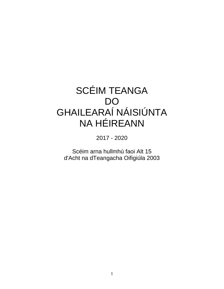# SCÉIM TEANGA DO GHAILEARAÍ NÁISIÚNTA NA HÉIREANN

2017 - 2020

Scéim arna hullmhú faoi Alt 15 d'Acht na dTeangacha Oifigiúla 2003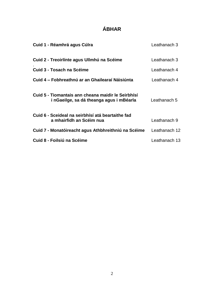## **ÁBHAR**

| Cuid 1 - Réamhrá agus Cúlra                                                                    | Leathanach 3  |
|------------------------------------------------------------------------------------------------|---------------|
| Cuid 2 - Treoirlínte agus Ullmhú na Scéime                                                     | Leathanach 3  |
| Cuid 3 - Tosach na Scéime                                                                      | Leathanach 4  |
| Cuid 4 – Fobhreathnú ar an Ghailearaí Náisiúnta                                                | Leathanach 4  |
| Cuid 5 - Tiomantais ann cheana maidir le Seirbhísí<br>i nGaeilge, sa dá theanga agus i mBéarla | Leathanach 5  |
| Cuid 6 - Sceideal na seirbhísí atá beartaithe fad<br>a mhairfidh an Scéim nua                  | Leathanach 9  |
| Cuid 7 - Monatóireacht agus Athbhreithniú na Scéime                                            | Leathanach 12 |
| Cuid 8 - Foilsiú na Scéime                                                                     | Leathanach 13 |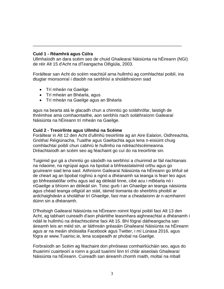#### **Cuid 1 - Réamhrá agus Cúlra**

Ullmhaíodh an dara scéim seo de chuid Ghailearaí Náisiúnta na hÉireann (NGI) de réir Alt 15 d'Acht na dTeangacha Oifigiúla, 2003.

\_\_\_\_\_\_\_\_\_\_\_\_\_\_\_\_\_\_\_\_\_\_\_\_\_\_\_\_\_\_\_\_\_\_\_\_\_\_\_\_\_\_\_\_\_\_\_\_\_\_\_\_\_\_\_\_\_\_\_\_\_

Foráiltear san Acht do scéim reachtúil arna hullmhú ag comhlachtaí poiblí, ina dtugtar mionsonraí i dtaobh na seirbhísí a sholáthraíonn siad

- Trí mheán na Gaeilge
- Trí mheán an Bhéarla, agus
- Trí mheán na Gaeilge agus an Bhéarla

agus na bearta atá le glacadh chun a chinntiú go soláthrófar, laistigh de thréimhse ama comhaontaithe, aon seirbhís nach soláthraíonn Gailearaí Náisiúnta na hÉireann trí mheán na Gaeilge.

#### **Cuid 2 - Treoirlínte agus Ullmhú na Scéime**

Foráiltear in Alt 12 den Acht d'ullmhú treoirlínte ag an Aire Ealaíon, Oidhreachta, Gnóthaí Réigiúnacha, Tuaithe agus Gaeltachta agus lena n-eisiúint chuig comhlachtaí poiblí chun cabhrú le hullmhú na ndréachtscéimeanna. Dréachtaíodh an scéim seo ag féachaint go cuí do na treoirlínte sin.

Tuigimid gur gá a chinntiú go sásóidh na seirbhísí a chuirimid ar fáil riachtanais na ndaoine, na ngrúpaí agus na bpobal a bhfreastalaímid orthu agus go gcuireann siad lena saol. Aithníonn Gailearaí Náisiúnta na hÉireann go bhfuil sé de cheart ag an bpobal roghnú a ngnó a dhéanamh sa teanga is fearr leo agus go bhfreastalófar orthu agus iad ag déileáil linne, cibé acu i mBéarla nó i nGaeilge a bhíonn an déileáil sin. Toisc gurb í an Ghaeilge an teanga náisiúnta agus chéad teanga oifigiúil an stáit, táimid tiomanta do sheirbhís phoiblí ar ardchaighdeán a sholáthar trí Ghaeilge, faoi mar a cheadaíonn ár n-acmhainní dúinn sin a dhéanamh.

D'fhoilsigh Gailearaí Náisiúnta na hÉireann roinnt fógraí poiblí faoi Alt 13 den Acht, ag tabhairt cuireadh d'aon pháirtithe leasmhara aighneachtaí a dhéanamh i ndáil le hullmhú na dréachtscéime faoi Alt 15. Bhí fógraí dátheangacha san áireamh leis an méid sin, ar láithreán gréasáin Ghailearaí Náisiúnta na hÉireann agus ar na meáin shóisialta Facebook agus Twitter, i mí Lúnasa 2016, agus fógra ar www.Tuairisc.ie, lena scaipeadh ar phobal na Gaeilge.

Forbraíodh an Scéim ag féachaint don phróiseas comhairliúcháin seo, agus do thuairimí cuairteoirí a roinn a gcuid tuairimí linn trí chlár aiseolais Ghailearaí Náisiúnta na hÉireann. Cuireadh san áireamh chomh maith, moltaí na mball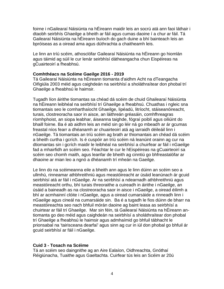foirne i nGailearaí Náisiúnta na hÉireann maidir leis an socrú atá ann faoi láthair i dtaobh seirbhís Ghaeilge a bheith ar fáil agus cumas daoine í a chur ar fáil. Tá Gailearaí Náisiúnta na hÉireann buíoch do gach duine a bhí bainteach leis an bpróiseas as a oiread ama agus dúthrachta a chaitheamh leis.

Le linn an tríú scéim, athosclófar Gailearaí Náisiúnta na hÉireann go hiomlán agus táimid ag súil le cur lenár seirbhísí dátheangacha chun Eispéireas na gCuairteoirí a fheabhsú.

#### **Comhthéacs na Scéime Gaeilge 2016 - 2019**

Tá Gailearaí Náisiúnta na hÉireann tiomanta d'aidhm Acht na dTeangacha Oifigiúla 2003 méid agus caighdeán na seirbhísí a sholáthraítear don phobal trí Ghaeilge a fheabhsú le haimsir.

Tugadh líon áirithe tiomantas sa chéad dá scéim de chuid Ghailearaí Náisiúnta na hÉireann leibhéal na seirbhísí trí Ghaeilge a fheabhsú. Chuathas i ngleic sna tiomantais seo le comharthaíocht Ghaeilge, lipéadú, litríocht, stáiseanóireacht, turais, clostreoracha saor in aisce, an láithreán gréasáin, comhfhreagras ríomhphoist, an siopa leabhar, áiseanna taighde, fógraí poiblí agus oiliúint do bhaill foirne. Ba é ab aidhm leis an méid sin go léir ná go mbeadh ar ár gcumas freastal níos fearr a dhéanamh ar chuairteoirí atá ag iarraidh déileáil linn i nGaeilge. Tá tiomantais an tríú scéim ag brath ar thiomantais an chéad dá scéim a bheith curtha i gcrích. Is é cuspóir an tríú scéim ná leanúint orainn ag cur na dtiomantas sin i gcrích maidir le leibhéal na seirbhísí a chuirfear ar fáil i nGaeilge fad a mhairfidh an scéim seo. Féachtar le cur le hEispéireas na gCuairteoirí sa scéim seo chomh maith, agus leanfar de bheith ag cinntiú go bhfreastalófar ar dhaoine ar mian leo a ngnó a dhéanamh trí mheán na Gaeilge.

Le linn do na scéimeanna eile a bheith ann agus le linn dúinn an scéim seo a ullmhú, rinneamar athbhreithniú agus meastóireacht ar úsáid leanúnach ár gcuid seirbhísí atá ar fáil i nGaeilge. Ar na seirbhísí a ndearnadh athbhreithniú agus meastóireacht orthu, bhí turais threoraithe a cuireadh in áirithe i nGaeilge, an úsáid a baineadh as na clostreoracha saor in aisce i nGaeilge, a oiread éilimh a bhí ar acmhainní clóite i nGaeilge, agus a oiread cumarsáide a rinneadh linn i nGaeilge agus cineál na cumarsáide sin. Ba é a tugadh le fios dúinn de bharr na meastóireachta seo nach bhfuil mórán daoine ag baint leasa as seirbhísí a chuirtear ar fáil trí Ghaeilge. Mar sin féin, tá Gailearaí Náisiúnta na hÉireann antiomanta go deo méid agus caighdeán na seirbhísí a sholáthraítear don phobal trí Ghaeilge a fheabhsú le haimsir agus admhaímid go bhfuil tábhacht le prionsabal na 'tairisceana dearfaí' agus sinn ag cur in iúl don phobal go bhfuil ár gcuid seirbhísí ar fáil i nGaeilge.

#### **Cuid 3 - Tosach na Scéime**

Tá an scéim seo daingnithe ag an Aire Ealaíon, Oidhreachta, Gnóthaí Réigiúnacha, Tuaithe agus Gaeltachta. Cuirfear tús leis an Scéim ar 20ú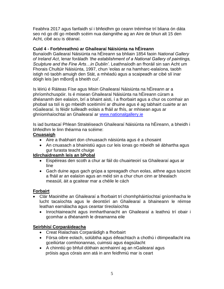Feabhra 2017 agus fanfaidh sí i bhfeidhm go ceann tréimhse trí bliana ón dáta seo nó go dtí go mbeidh scéim nua daingnithe ag an Aire de bhun alt 15 den Acht, cibé acu is déanaí.

## **Cuid 4 - Forbhreathnú ar Ghailearaí Náisiúnta na hÉireann**

Bunaíodh Gailearaí Náisiúnta na hÉireann sa bhliain 1854 faoin *National Gallery of Ireland Act*, lenar foráladh *'the establishment of a National Gallery of paintings, Sculpture and the Fine Arts…in Dublin'*. Leathnaíodh an fhoráil sin san Acht um Fhorais Chultúir Náisiúnta, 1997, chun 'eolas ar na hamharc-ealaíona, taobh istigh nó taobh amuigh den Stát, a mhéadú agus a scaipeadh ar cibé slí inar dóigh leis [an mBord] a bheith cuí'.

Is léiriú é Ráiteas Físe agus Misin Ghailearaí Náisiúnta na hÉireann ar a phríomhchuspóir. Is é misean Ghailearaí Náisiúnta na hÉireann cúram a dhéanamh den ealaíon, brí a bhaint aisti, í a fhorbairt agus a chur os comhair an phobail sa tslí is go mbeidh sceitimíní ar dhuine agus é ag tabhairt cuairte ar an nGailearaí. Is féidir tuilleadh eolais a fháil ar fhís, ar mhisean agus ar ghníomhaíochtaí an Ghailearaí ar [www.nationalgallery.ie](http://www.nationalgallery.ie/)

Is iad buntacaí Phlean Straitéiseach Ghailearaí Náisiúnta na hÉireann, a bheidh i bhfeidhm le linn théarma na scéime:

## **Cnuasaigh**

- Aire a thabhairt don chnuasach náisiúnta agus é a chosaint
- An cnuasach a bhainistiú agus cur leis ionas go mbeidh sé ábhartha agus gur furasta teacht chuige

## **Idirchaidreamh leis an bPobal**

- Eispéireas den scoth a chur ar fáil do chuairteoirí sa Ghailearaí agus ar líne
- Gach duine agus gach grúpa a spreagadh chun eolas, aithne agus tuiscint a fháil ar an ealaíon agus an méid sin a chur chun cinn ar bhealach measúil, áit a gcaitear mar a chéile le cách

## **Forbairt**

- Clár Maoinithe an Ghailearaí a fhorbairt trí chomhpháirtíochtaí gníomhacha le lucht tacaíochta agus le deontóirí an Ghailearaí a bhaineann le réimse leathan earnálacha agus ceantar tíreolaíochta
	- Inrochtaineacht agus inmharthanacht an Ghailearaí a leathnú trí obair i gcomhar a dhéanamh le dreamanna eile

## **Seirbhísí Corparáideacha**

- Creat Rialachais Corparáidigh a fhorbairt
- Fórsa oibre eolach, solúbtha agus éifeachtach a chothú i dtimpeallacht ina gceiliúrtar comhionannas, cuimsiú agus éagsúlacht
- A chinntiú go bhfuil dóthain acmhainní ag an nGailearaí agus próisis agus córais ann atá in ann feidhmiú mar is ceart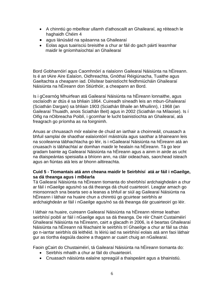- A chinntiú go mbeifear ullamh d'athoscailt an Ghailearaí, ag réiteach le haghaidh Chéim 4
- agus lánúsáid na spásanna sa Ghailearaí
- Eolas agus tuairisciú breisithe a chur ar fáil do gach páirtí leasmhar maidir le gníomhaíochtaí an Ghailearaí

Bord Gobharnóirí agus Caomhnóirí a rialaíonn Gailearaí Náisiúnta na hÉireann. Is é an tAire Aire Ealaíon, Oidhreachta, Gnóthaí Réigiúnacha, Tuaithe agus Gaeltachta a cheapann iad. Dílsítear bainistíocht feidhmiúcháin Ghailearaí Náisiúnta na hÉireann don Stiúrthóir, a cheapann an Bord.

Is i gCearnóg Mhuirfean atá Gailearaí Náisiúnta na hÉireann lonnaithe, agus osclaíodh ar dtús é sa bhliain 1864. Cuireadh síneadh leis an mbun-Ghailearaí (Sciathán Dargan) sa bhliain 1903 (Sciathán Bhaile an Mhuilinn), i 1968 (an Gailearaí Thuaidh, anois Sciathán Beit) agus in 2002 (Sciathán na Mílaoise). Is í Oifig na nOibreacha Poiblí, i gcomhar le lucht bainistíochta an Ghailearaí, atá freagrach go príomha as na foirgnimh.

Anuas ar chnuasach mór ealaíne de chuid an iarthair a choinneáil, cnuasach a bhfuil samplaí de shaothar ealaíontóirí máistriúla agus saothar a bhaineann leis na scoileanna tábhachtacha go léir, is i nGailearaí Náisiúnta na hÉireann atá an cnuasach is tábhachtaí ar domhan maidir le healaín na hÉireann. Tá go leor gradam bainte ag Gailearaí Náisiúnta na hÉireann agus a ainm in airde as ucht na dtaispeántas speisialta a bhíonn ann, na cláir oideachais, saorchead isteach agus an fiúntas atá leis ar bhonn ailtireachta.

#### **Cuid 5 - Tiomantais atá ann cheana maidir le Seirbhísí atá ar fáil i nGaeilge, sa dá theanga agus i mBéarla**

Tá Gailearaí Náisiúnta na hÉireann tiomanta do sheirbhísí ardchaighdeáin a chur ar fáil i nGaeilge agus/nó sa dá theanga dá chuid cuairteoirí. Leagtar amach go mionsonrach sna bearta seo a leanas a bhfuil ar siúl ag Gailearaí Náisiúnta na hÉireann i láthair na huaire chun a chinntiú go gcuirtear seirbhís ar ardchaighdeán ar fáil i nGaeilge agus/nó sa dá theanga dár gcuairteoirí go léir.

I láthair na huaire, cuireann Gailearaí Náisiúnta na hÉireann réimse leathan seirbhísí poiblí ar fáil i nGaeilge agus sa dá theanga. De réir Chairt Custaiméirí Ghailearaí Náisiúnta na hÉireann, cairt a glacadh in 2006, is é beartas Ghailearaí Náisiúnta na hÉireann ná féachaint le seirbhís trí Ghaeilge a chur ar fáil sa chás go n-iarrtar seirbhís dá leithéid. Is léiriú iad na seirbhísí eolais atá ann faoi láthair gur as tíortha éagsúla daoine a thagann ar cuairt chuig an nGailearaí.

Faoin gCairt do Chustaiméirí, tá Gailearaí Náisiúnta na hÉireann tiomanta do:

- Seirbhís mhaith a chur ar fáil do chuairteoirí.
- Cnuasach náisiúnta ealaíne spreagúil a thaispeáint agus a bhainistiú.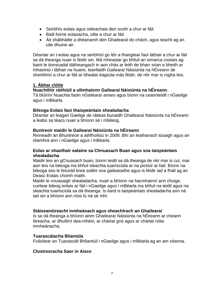- Seirbhís eolais agus oideachais den scoth a chur ar fáil.
- Baill foirne eolasacha, oilte a chur ar fáil.
- Ait shábháilte a dhéanamh den Ghailearaí do chách, agus teacht ag an uile dhuine air.

Déantar an t-eolas agus na seirbhísí go léir a thairgtear faoi láthair a chur ar fáil sa dá theanga nuair is féidir sin. Má mheastar go bhfuil an iomarca costais ag baint le tionscadal dátheangach in aon chás ar leith de bharr srian a bheith ar mhaoiniú i láthair na huaire, leanfaidh Gailearaí Náisiúnta na hÉireann de sheirbhísí a chur ar fáil ar bhealaí éagsúla más féidir, de réir mar is rogha leis.

## **1. Ábhar clóite**

#### **Nuachtlitir ráithiúil a ullmhaíonn Gailearaí Náisiúnta na hÉireann**.

Tá blúiríní Nuachta faoin nGailearaí anseo agus bíonn na ceannteidil i nGaeilge agus i mBéarla.

#### **Bileoga Eolais faoi thaispeántais shealadacha**

Déantar an leagan Gaeilge de ráiteas bunaidh Ghailearaí Náisiúnta na hÉireann a leabú sa téacs nuair a bhíonn sé i mbileog.

#### **Buntreoir maidir le Gailearaí Náisiúnta na hÉireann**

Rinneadh an Bhuntreoir a athfhoilsiú in 2009. Bhí an leathanach tosaigh agus an réamhrá ann i nGaeilge agus i mBéarla.

#### **Eolas ar shaothair ealaíne sa Chnuasach Buan agus sna taispeántais shealadacha**

Maidir leis an gCnuasach buan, bíonn teidil sa dá theanga de réir mar is cuí, mar aon leis na bileoga ina bhfuil sleachta tuairisciúla ar na pictiúir ar fad. Bíonn na bileoga seo le feiceáil breá soiléir sna gailearaithe agus is féidir iad a fháil ag an Deasc Eolais chomh maith.

Maidir le cnuasaigh shealadacha, nuair a bhíonn na hacmhainní ann chuige, cuirtear bileog eolais ar fáil i nGaeilge agus i mBéarla ina bhfuil na teidil agus na sleachta tuairisciúla sa dá theanga. Is éard is taispeántais shealadacha ann ná iad sin a bhíonn ann níos lú ná sé mhí.

#### **Stáiseanóireacht inmheánach agus sheachtrach an Ghailearaí**

Is sa dá theanga a bhíonn ainm Ghailearaí Náisiúnta na hÉireann ar cheann litreacha, ar dhuillíní dea-mhéin, ar chártaí gnó agus ar chártaí nóta inmheánacha.

#### **Tuarascálacha Bliantúla**

Foilsítear an Tuarascáil Bhliantúil i nGaeilge agus i mBéarla ag an am céanna.

#### **Clostreoracha Saor in Aisce**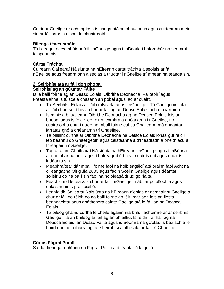Cuirtear Gaeilge ar ocht bpíosa is caoga atá sa chnuasach agus cuirtear an méid sin ar fáil saor in aisce do chuairteoirí.

#### **Bileoga téacs mhóir**

Tá bileoga téacs mhóir ar fáil i nGaeilge agus i mBéarla i bhformhór na seomraí taispeántais.

## **Cártaí Tráchta**

Cuireann Gailearaí Náisiúnta na hÉireann cártaí tráchta aiseolais ar fáil i nGaeilge agus freagraíonn aiseolas a thugtar i nGaeilge trí mheán na teanga sin.

## **2. Seirbhísí atá ar fáil don phobal**

## **Seirbhísí ag an gCuntar Fáilte**

Is le baill foirne ag an Deasc Eolais, Oibrithe Deonacha, Fáilteoirí agus Freastalaithe is túisce a chasann an pobal agus iad ar cuairt.

- Tá Seirbhísí Eolais ar fáil i mBéarla agus i nGaeilge. Tá Gaeilgeoir líofa ar fáil chun seirbhís a chur ar fáil ag an Deasc Eolais ach é a iarraidh.
- Is minic a bhuaileann Oibrithe Deonacha ag na Deasca Eolais leis an bpobal agus is féidir leo roinnt comhrá a dhéanamh i nGaeilge, nó cuairteoirí a chur i dtreo na mball foirne cuí sa Ghailearaí má dhéantar iarratas gnó a dhéanamh trí Ghaeilge.
- Tá oiliúint curtha ar Oibrithe Deonacha na Deisce Eolais ionas gur féidir leo beannú do Ghaeilgeoirí agus ceisteanna a d'fhéadfadh a bheith acu a fhreagairt i nGaeilge.
- Tugtar ainm Ghailearaí Náisiúnta na hÉireann i nGaeilge agus i mBéarla ar chomharthaíocht agus i bhfreagraí ó bhéal nuair is cuí agus nuair is indéanta sin.
- Meabhraítear dár mbaill foirne faoi na hoibleagáidí atá orainn faoi Acht na dTeangacha Oifigiúla 2003 agus faoin Scéim Gaeilge agus déantar soiléiriú do na baill sin faoi na hoibleagáidí úd go rialta.
- Féachaimid le téacs a chur ar fáil i nGaeilge in ábhar poiblíochta agus eolais nuair is praiticiúil é.
- Leanfaidh Gailearaí Náisiúnta na hÉireann d'eolas ar acmhainní Gaeilge a chur ar fáil go réidh do na baill foirne go léir, mar aon leis an liosta beannachtaí agus gnáthchora cainte Gaeilge atá le fáil ag na Deasca Eolais.
- Tá bileog ghairid curtha le chéile againn ina bhfuil achoimre ar ár seirbhísí Gaeilge. Tá an bhileog ar fáil ag an bhfáiltiú. Is féidir í a fháil ag na Deasca Eolais, an Deasc Fáilte agus is Seomra na gCótaí. Is bealach é le haird daoine a tharraingt ar sheirbhísí áirithe atá ar fáil trí Ghaeilge.

## **Córais Fógraí Poiblí**

Sa dá theanga a bhíonn na Fógraí Poiblí a dhéantar ó lá go lá.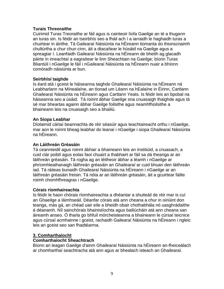#### **Turais Threoraithe**

Cuirimid Turas Treoraithe ar fáil agus is cainteoir líofa Gaeilge an té a thugann an turas sin. Is féidir an tseirbhís seo a fháil ach í a iarraidh le haghaidh turas a chuirtear in áirithe. Tá Gailearaí Náisiúnta na hÉireann tiomanta do thionscnaimh chultúrtha a chur chun cinn, áit a dtacaítear le húsáid na Gaeilge agus a spreagtar í. Leanfaidh Gailearaí Náisiúnta na hÉireann de bheith ag glacadh páirte in imeachtaí a eagraítear le linn Sheachtain na Gaeilge; bíonn Turas Bliantúil i nGaeilge le fáil i nGailearaí Náisiúnta na hÉireann nuair a bhíonn comóradh náisiúnta ar bun.

#### **Seirbhísí taighde**

Is éard atá i gceist le háiseanna taighde Ghailearaí Náisiúnta na hÉireann ná Leabharlann na Mínealaíne, an tIonad um Léann na hEalaíne in Éirinn, Cartlann Ghailearaí Náisiúnta na hÉireann agus Cartlann Yeats. Is féidir leis an bpobal na háiseanna seo a úsáid. Tá roinnt ábhar Gaeilge sna cnuasaigh thaighde agus tá sé mar bheartas againn ábhar Gaeilge foilsithe agus neamhfhoilsithe a bhaineann leis na cnuasaigh seo a bhailiú.

#### **An Siopa Leabhar**

Díolaimid cártaí beannachta de réir séasúir agus teachtaireacht orthu i nGaeilge, mar aon le roinnt bheag leabhar do leanaí i nGaeilge i siopa Ghailearaí Náisiúnta na hÉireann.

#### **An Láithreán Gréasáin**

Tá ceannteidil agus roinnt ábhair a bhaineann leis an institiúid, a cnuasach, a cuid clár poiblí agus eolas faoi chuairt a thabhairt ar fáil sa dá theanga ar an láithreán gréasáin. Tá rogha ag an léitheoir ábhar a léamh i nGaeilge ar phríomhleathanaigh láithreán gréasáin an Ghailearaí ar cuid bhuan den láithreán iad. Tá ráiteas bunaidh Ghailearaí Náisiúnta na hÉireann i nGaeilge ar an láithreán gréasáin freisin. Tá nóta ar an láithreán gréasáin, áit a gcuirtear fáilte roimh chomhfhreagras i nGaeilge.

#### **Córais ríomhaireachta**

Is féidir le haon chórais ríomhaireachta a dhéantar a shuiteáil de réir mar is cuí an Ghaeilge a láimhseáil. Déanfar córais atá ann cheana a chur in oiriúint don teanga, más gá, an chéad uair eile a bheidh obair chothabhála nó uasghrádaithe á déanamh. Níl sainchórais bhainistíochta agus bailiúcháin atá ann cheana san áireamh anseo. Ó tharla go bhfuil mórcheisteanna a bhaineann le cúrsaí teicnice agus cúrsaí acmhainne i gceist, rachaidh Gailearaí Náisiúnta na hÉireann i ngleic leis an gceist seo san fhadtéarma.

#### **3. Comharthaíocht**

#### **Comharthaíocht Sheachtrach**

Bíonn an leagan Gaeilge d'ainm Ghailearaí Náisiúnta na hÉireann an-fheiceálach ar chomharthaí seachtracha atá ann agus ar bhealach isteach an Ghailearaí.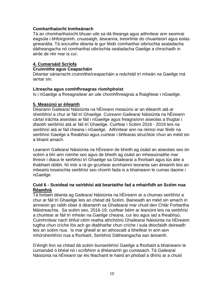#### **Comharthaíocht Inmheánach**

Tá an chomharthaíocht bhuan uile sa dá theanga agus aithnítear ann seomraí éagsúla i bhfoirgnimh, cnuasaigh, áiseanna, treoirlínte do chuairteoirí agus eolas ginearálta. Tá socruithe déanta le gur féidir comharthaí oibríochta sealadacha dátheangacha nó comharthaí oibríochta sealadacha Gaeilge a chrochadh in airde de réir mar is cuí.

#### **4. Cumarsáid Scríofa**

#### **Cruinnithe agus Ceapacháin**

Déantar sáriarracht cruinnithe/ceapacháin a reáchtáil trí mheán na Gaeilge má iarrtar sin.

#### **Litreacha agus comhfhreagras ríomhphoist**

Is i nGaeilge a fhreagraítear an uile chomhfhreagras a fhaightear i nGaeilge.

#### **5. Measúnú ar éileamh**

Déanann Gailearaí Náisiúnta na hÉireann measúnú ar an éileamh atá ar sheirbhísí a chur ar fáil trí Ghaeilge. Cuireann Gailearaí Náisiúnta na hÉireann cártaí tráchta aiseolais ar fáil i nGaeilge agus freagraíonn aiseolas a thugtar i dtaobh seirbhísí atá ar fáil trí Ghaeilge. Cuirfear i Scéim 2016 - 2019 leis na seirbhísí atá ar fáil cheana i nGaeilge. Aithnítear ann na réimsí inar féidir na seirbhísí Gaeilge a fheabhsú agus cuirtear i bhfearas struchtúir chun an méid sin a bhaint amach.

Leanann Gailearaí Náisiúnta na hÉireann de bheith ag úsáid an aiseolais seo ón scéim a bhí ann roimhe seo agus de bheith ag úsáid an mheasúnaithe mar threoir i dtaca le seirbhísí trí Ghaeilge sa Ghailearaí a fhorbairt agus tús áite a thabhairt dóibh. Ní mór a rá go gcuirtear acmhainní teoranta san áireamh leis an mbeartú tosaíochta seirbhísí seo chomh fada is a bhaineann le cumas daoine i nGaeilge.

#### **Cuid 6 - Sceideal na seirbhísí atá beartaithe fad a mhairfidh an Scéim nua Réamhrá**

Tá forbairt déanta ag Gailearaí Náisiúnta na hÉireann ar a chumas seirbhísí a chur ar fáil trí Ghaeilge leis an chéad dá Scéim. Baineadh an méid sin amach in ainneoin go raibh obair á déanamh sa Ghailearaí mar chuid den Chlár Forbartha Máistreachta. Sa scéim seo, 2016-19, cuirfear béim ar leanúint leis na seirbhísí a chuirtear ar fáil trí mheán na Gaeilge cheana, cur leo agus iad a fheabhsú. Cuimhnítear nach bhfuil céim reatha athchóiriú Ghailearaí Náisiúnta na hÉireann tugtha chun críche fós ach go dtabharfar chun críche í sula dtiocfaidh deireadh leis an scéim nua. Is mar gheall ar an athoscailt a bheifear in ann aon mhórsheirbhísí nua a fhorbairt, Seirbhísí Dátheangacha san áireamh.

D'éirigh linn sa chéad dá scéim bunseirbhísí Gaeilge a fhorbairt a bhaineann le cumarsáid ó bhéal nó i scríbhinn a dhéanamh go cumasach. Tá Gailearaí Náisiúnta na hÉireann tar éis féachaint le haird an phobail a dhíriú ar a chuid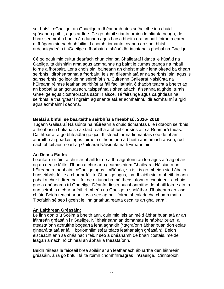seirbhísí i nGaeilge, an Ghaeilge a dhéanamh níos sofheicthe ina chuid spásanna poiblí, agus ar líne. Cé go bhfuil srianta orainn le blianta beaga, de bharr seomraí a bheith á ndúnadh agus bac a bheith orainn baill foirne a earcú, ní fhágann sin nach bhfuilimid chomh tiomanta céanna do sheirbhísí ardchaighdeáin i nGaeilge a fhorbairt a shásóidh riachtanais phobal na Gaeilge.

Cé go gcuirimid cultúr dearfach chun cinn sa Ghailearaí i dtaca le húsáid na Gaeilge, tá dúshláin ama agus acmhainne ag baint le cumas teanga na mball foirne a fhorbairt. Lena chois sin, baineann an cheist maidir lena oiread ba cheart seirbhísí idirphearsanta a fhorbairt, leis an éileamh atá ar na seirbhísí sin, agus is sainseirbhísí go leor de na seirbhísí sin. Cuireann Gailearaí Náisiúnta na hÉireann réimse leathan seirbhísí ar fáil faoi láthair, ó thaobh teacht a bheith ag an bpobal ar an gcnuasach, taispeántais shealadach, áiseanna taighde, turais Ghaeilge agus clostreoracha saor in aisce. Tá fairsinge agus caighdeán na seirbhísí a thairgtear i ngreim ag srianta atá ar acmhainní, idir acmhainní airgid agus acmhainní daonna.

#### **Bealaí a bhfuil sé beartaithe seirbhísí a fheabhsú, 2016- 2019**

Tugann Gailearaí Náisiúnta na hÉireann a chuid tiomantas uile i dtaobh seirbhísí a fheabhsú i bhfianaise a staid reatha a bhfuil cur síos air sa Réamhrá thuas. Caithfear a rá go bhféadfaí go gcuirfí isteach ar na tiomantais seo de bharr athruithe airgeadais agus foirne a d'fhéadfadh a bheith ann amach anseo, rud nach bhfuil aon neart ag Gailearaí Náisiúnta na hÉireann air.

#### **An Deasc Fáilte:**

Leanfar d'oiliúint a chur ar bhaill foirne a fhreagraíonn an fón agus atá ag obair ag an deasc fáilte d'fhonn a chur ar a gcumas ainm Ghailearaí Náisiúnta na hÉireann a thabhairt i nGaeilge agus i mBéarla, sa tslí is go mbeidh siad ábalta bunseirbhís fáilte a chur ar fáil trí Ghaeilge agus, ina dhiaidh sin, a bheith in ann pobal a chur i dtreo baill foirne oiriúnacha má theastaíonn ó chuairteoir a chuid gnó a dhéanamh trí Ghaeilge. Déanfar liosta nuashonraithe de bhaill foirne atá in ann seirbhís a chur ar fáil trí mheán na Gaeilge a sholáthar d'fhoireann an lascchláir. Beidh teacht ar an liosta seo ag baill foirne shealadacha chomh maith. Tiocfaidh sé seo i gceist le linn gnáthuaireanta oscailte an ghailearaí.

#### **An Láithreán Gréasáin:**

Le linn don tríú Scéim a bheith ann, cuirfimid leis an méid ábhar buan atá ar an láithreán gréasáin i nGaeilge. Ní bhaineann an tiomantas le hábhar buan\* a dteastaíonn athruithe bogearra lena aghaidh (\*tagraíonn ábhar buan don eolas ginearálta atá ar fáil i bpríomhlimistéar téacs leathanaigh gréasáin). Beidh eisceacht ann sa chás nach féidir seo a dhéanamh de bharr costais, méide, leagan amach nó chineál an ábhair a theastaíonn.

Beidh ráiteas le feiceáil breá soiléir ar an leathanach ábhartha den láithreán gréasáin, á rá go bhfuil fáilte roimh chomhfhreagras i nGaeilge. Cinnteoidh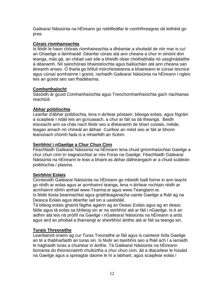Gailearaí Náisiúnta na hÉireann go ndéilfeálfar le comhfhreagras dá leithéid go pras.

#### **Córais ríomhaireachta**

Is féidir le haon chórais ríomhaireachta a dhéantar a shuiteáil de réir mar is cuí an Ghaeilge a láimhseáil. Déanfar córais atá ann cheana a chur in oiriúint don teanga, más gá, an chéad uair eile a bheidh obair chothabhála nó uasghrádaithe á déanamh. Níl sainchórais bhainistíochta agus bailiúcháin atá ann cheana san áireamh anseo. Ó tharla go bhfuil mórcheisteanna a bhaineann le cúrsaí teicnice agus cúrsaí acmhainne i gceist, rachaidh Gailearaí Náisiúnta na hÉireann i ngleic leis an gceist seo san fhadtéarma.

## **Comharthaíocht**

Sásóidh ár gcuid Comharthaíochta agus Treochomharthaíochta gach riachtanas reachtúil.

## **Ábhar poiblíochta**

Leanfar d'ábhar poiblíochta, lena n-áirítear póstaeir, bileoga eolais, agus fógráin a scaiptear i ndáil leis an gcnuasach, a chur ar fáil sa dá theanga. Beidh eisceacht ann sa chás nach féidir seo a dhéanamh de bharr costais, méide, leagan amach nó chineál an ábhair. Cuirfear an méid seo ar fáil ar bhonn leanúnach chomh fada is a mhairfidh an Scéim.

## **Seirbhísí i nGaeilge a Chur Chun Cinn**

Féachfaidh Gailearaí Náisiúnta na hÉireann lena chuid gníomhaíochtaí Gaeilge a chur chun cinn trí eagraíochtaí ar nós Foras na Gaeilge. Féachfaidh Gailearaí Náisiúnta na hÉireann le leas a bhaint as ábhar dátheangach ar a chuid scáileán poiblíochta / plasma.

## **Seirbhísí Eolais**

Cinnteoidh Gailearaí Náisiúnta na hÉireann go mbeidh baill foirne in ann teacht go réidh ar eolas agus ar acmhainní teanga, lena n-áirítear rochtain réidh ar acmhainní idirlín amhail www.Tearma.ie agus www.Teanglann.ie.

Is féidir liosta beannachtaí agus gnáthleaganacha cainte Gaeilge a fháil ag na Deasca Eolais agus déanfar iad sin a uaslódáil.

Tá bileog eolais ghairid fágtha againn ag an Deasc Eolais agus ag an deasc fáilte agus tá eolas sa bhileog sin ar na seirbhísí atá ar fáil i nGaeilge. Is é an aidhm atá leis ná próifíl na Gaeilge i nGailearaí Náisiúnta na hÉireann a ardú agus aird an phobail a tharraingt ar sheirbhísí áirithe atá ar fáil sa teanga sin.

## **Turais Threoraithe**

Leanfaimid orainn ag cur Turas Treoraithe ar fáil agus is cainteoir líofa Gaeilge an té a thabharfaidh an turas sin. Is féidir an tseirbhís seo a fháil ach í a iarraidh le haghaidh turas a chuirtear in áirithe. Tá Gailearaí Náisiúnta na hÉireann tiomanta do thionscnaimh chultúrtha a chur chun cinn, áit a dtacaítear le húsáid na Gaeilge agus a spreagtar daoine le hí a labhairt, agus scaipfear eolas i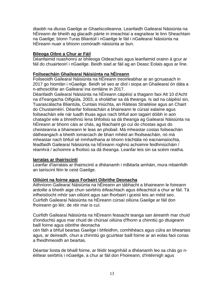dtaobh na dturas Gaeilge ar Ghaelscoileanna. Leanfaidh Gailearaí Náisiúnta na hÉireann de bheith ag glacadh páirte in imeachtaí a eagraítear le linn Sheachtain na Gaeilge; bíonn Turas Bliantúil i nGaeilge le fáil i nGailearaí Náisiúnta na hÉireann nuair a bhíonn comóradh náisiúnta ar bun.

#### **Bileoga Oibre a Chur ar Fáil**

Déanfaimid nuashonrú ar bhileoga Oideachais agus leanfaimid orainn á gcur ar fáil do chuairteoirí i nGaeilge. Beidh siad ar fáil ag an Deasc Eolais agus ar líne.

#### **Foilseacháin Ghailearaí Náisiúnta na hÉireann**

Foilseoidh Gailearaí Náisiúnta na hÉireann treoirleabhar ar an gcnuasach in 2017 go hiomlán i nGaeilge. Beidh sé seo ar díol i siopa an Ghailearaí ón dáta a n-athosclófar an Gailearaí ina iomláine in 2017.

Déanfaidh Gailearaí Náisiúnta na hÉireann cáipéisí a thagann faoi Alt 10 d'Acht na dTeangacha Oifigiúla, 2003, a sholáthar sa dá theanga. Is iad na cáipéisí sin, Tuarascálacha Bliantúla, Cuntais Iniúchta, an Ráiteas Straitéise agus an Chairt do Chustaiméirí. Déanfar foilseacháin a bhaineann le cúrsaí ealaíne agus foilseacháin eile nár luadh thuas agus nach bhfuil aon tagairt dóibh in aon chatagóir eile a bhreithniú lena bhfoilsiú sa dá theanga ag Gailearaí Náisiúnta na hÉireann ar bhonn cáis ar chás, ag féachaint go cuí do chostas agus do cheisteanna a bhaineann le leas an phobail. Má mheastar costas foilseachán dátheangach a bheith iomarcach de bharr mhéid an fhoilseacháin, nó má mheastar nach bhfuil sé inmharthana ar bhonn tráchtála nó eacnamaíochta, féadfaidh Gailearaí Náisiúnta na hÉireann roghnú achoimre feidhmiúcháin / réamhrá / achoimre a fhoilsiú sa dá theanga. Leanfar leis sin sa scéim reatha.

#### **Iarratas ar thairiscintí**

Leanfar d'iarratais ar thairiscintí a dhéanamh i mBéarla amháin, mura mbainfidh an tairiscint féin le ceist Gaeilge.

#### **Oiliúint na foirne agus Forbairt Oibrithe Deonacha**

Aithníonn Gailearaí Náisiúnta na hÉireann an tábhacht a bhaineann le foireann ardoilte a bheith aige chun seirbhís éifeachtach agus éifeachtúil a chur ar fáil. Tá infheistíocht mhór san oiliúint agus san fhorbairt i gceist leis an méid seo. Cuirfidh Gailearaí Náisiúnta na hÉireann cúrsaí oiliúna Gaeilge ar fáil don fhoireann go léir, de réir mar is cuí.

Cuirfidh Gailearaí Náisiúnta na hÉireann feasacht teanga san áireamh mar chuid d'ionduchtú agus mar chuid de chúrsaí oiliúna d'fhonn a chinntiú go dtuigeann baill foirne agus oibrithe deonacha

cén fáth a bhfuil beartas Gaeilge i bhfeidhm, comhthéacs agus cúlra an bheartais agus, ar deireadh, chun a chinntiú go gcuirtear baill foirne ar an eolas faoi conas a fheidhmeoidh an beartas.

Déantar liosta de bhaill foirne, ar féidir teagmháil a dhéanamh leo sa chás go néilítear seirbhís i nGaeilge, a chur ar fáil don Fhoireann, d'Intéirnigh agus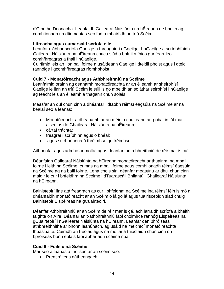d'Oibrithe Deonacha. Leanfaidh Gailearaí Náisiúnta na hÉireann de bheith ag comhlíonadh na dtiomantas seo fad a mhairfidh an tríú Scéim.

#### **Litreacha agus cumarsáid scríofa eile**

Leanfar d'ábhar scríofa Gaeilge a fhreagairt i nGaeilge. I nGaeilge a scríobhfaidh Gailearaí Náisiúnta na hÉireann chucu siúd a bhfuil a fhios gur fearr leo comhfhreagras a fháil i nGaeilge.

Cuirfimid leis an líon ball foirne a úsáideann Gaeilge i dteidil phoist agus i dteidil rannóige i gcomhfhreagras ríomhphoist.

## **Cuid 7 - Monatóireacht agus Athbhreithniú na Scéime**

Leanfaimid orainn ag déanamh monatóireachta ar an éileamh ar sheirbhísí Gaeilge le linn an tríú Scéim le súil is go mbeidh an soláthar seirbhísí i nGaeilge ag teacht leis an éileamh a thagann chun solais.

Measfar an dul chun cinn a dhéanfar i dtaobh réimsí éagsúla na Scéime ar na bealaí seo a leanas:

- Monatóireacht a dhéanamh ar an méid a chuireann an pobal in iúl mar aiseolas do Ghailearaí Náisiúnta na hÉireann;
- cártaí tráchta;
- freagraí i scríbhinn agus ó bhéal;
- agus suirbhéanna ó thréimhse go tréimhse.

Aithneofar agus admhófar moltaí agus déanfar iad a bhreithniú de réir mar is cuí.

Déanfaidh Gailearaí Náisiúnta na hÉireann monatóireacht ar thuairimí na mball foirne i leith na Scéime, cumas na mbaill foirne agus comhlíonadh réimsí éagsúla na Scéime ag na baill foirne. Lena chois sin, déanfar measúnú ar dhul chun cinn maidir le cur i bhfeidhm na Scéime i dTuarascáil Bhliantúil Ghailearaí Náisiúnta na hÉireann.

Bainisteoirí líne atá freagrach as cur i bhfeidhm na Scéime ina réimsí féin is mó a dhéanfaidh monatóireacht ar an Scéim ó lá go lá agus tuairisceoidh siad chuig Bainisteoir Eispéireas na gCuairteoirí.

Déanfar Athbhreithniú ar an Scéim de réir mar is gá, ach iarraidh scríofa a bheith faighte ón Aire. Déanfar an t-athbhreithniú faoi choimirce rannóg Eispéireas na gCuairteoirí i nGailearaí Náisiúnta na hÉireann. Leanfar den phróiseas athbhreithnithe ar bhonn leanúnach, ag úsáid na meicnící monatóireachta thuasluaite. Cuirfidh an t-eolas agus na moltaí a thiocfaidh chun cinn ón bpróiseas bonn eolais faoi ábhar aon scéime nua.

#### **Cuid 8 - Foilsiú na Scéime**

Mar seo a leanas a fhoilseofar an scéim seo:

Preasráiteas dátheangach;